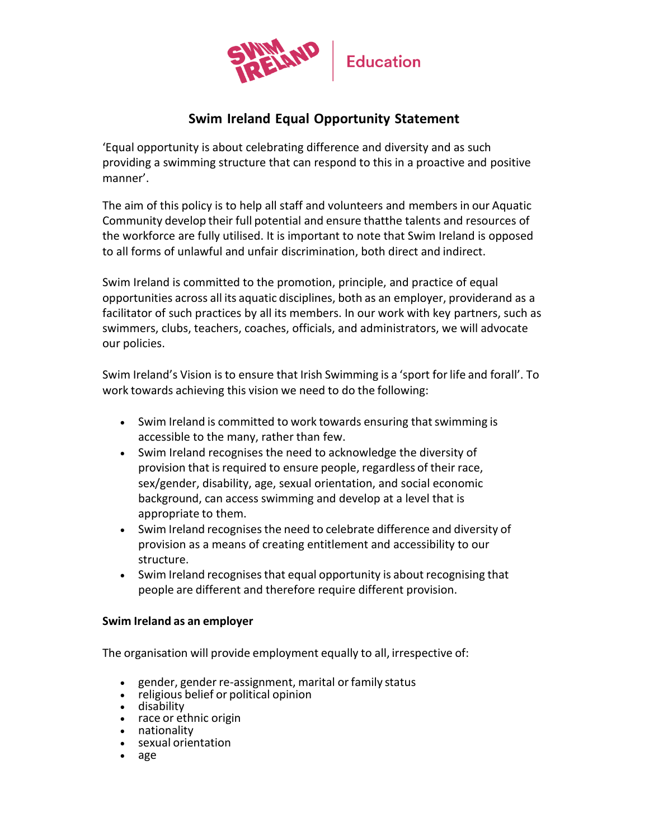

# **Swim Ireland Equal Opportunity Statement**

'Equal opportunity is about celebrating difference and diversity and as such providing a swimming structure that can respond to this in a proactive and positive manner'.

The aim of this policy is to help all staff and volunteers and members in our Aquatic Community develop their full potential and ensure thatthe talents and resources of the workforce are fully utilised. It is important to note that Swim Ireland is opposed to all forms of unlawful and unfair discrimination, both direct and indirect.

Swim Ireland is committed to the promotion, principle, and practice of equal opportunities across all its aquatic disciplines, both as an employer, providerand as a facilitator of such practices by all its members. In our work with key partners, such as swimmers, clubs, teachers, coaches, officials, and administrators, we will advocate our policies.

Swim Ireland's Vision is to ensure that Irish Swimming is a 'sport for life and forall'. To work towards achieving this vision we need to do the following:

- Swim Ireland is committed to work towards ensuring that swimming is accessible to the many, rather than few.
- Swim Ireland recognises the need to acknowledge the diversity of provision that is required to ensure people, regardless of their race, sex/gender, disability, age, sexual orientation, and social economic background, can access swimming and develop at a level that is appropriate to them.
- Swim Ireland recognises the need to celebrate difference and diversity of provision as a means of creating entitlement and accessibility to our structure.
- Swim Ireland recognises that equal opportunity is about recognising that people are different and therefore require different provision.

#### **Swim Ireland as an employer**

The organisation will provide employment equally to all, irrespective of:

- gender, gender re-assignment, marital or family status
- religious belief or political opinion
- disability
- race or ethnic origin
- nationality • sexual orientation
- age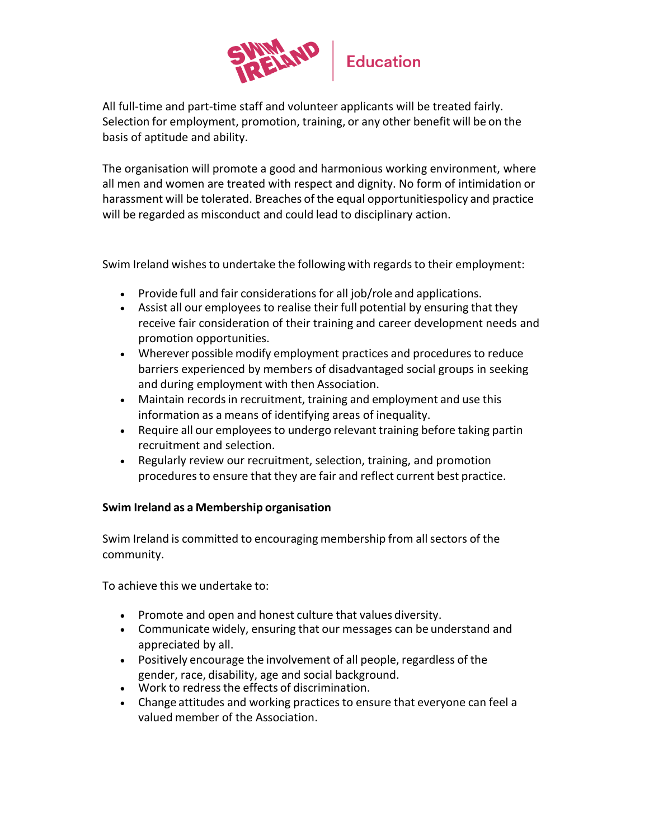

All full-time and part-time staff and volunteer applicants will be treated fairly. Selection for employment, promotion, training, or any other benefit will be on the basis of aptitude and ability.

The organisation will promote a good and harmonious working environment, where all men and women are treated with respect and dignity. No form of intimidation or harassment will be tolerated. Breaches of the equal opportunitiespolicy and practice will be regarded as misconduct and could lead to disciplinary action.

Swim Ireland wishes to undertake the following with regards to their employment:

- Provide full and fair considerations for all job/role and applications.
- Assist all our employees to realise their full potential by ensuring that they receive fair consideration of their training and career development needs and promotion opportunities.
- Wherever possible modify employment practices and procedures to reduce barriers experienced by members of disadvantaged social groups in seeking and during employment with then Association.
- Maintain records in recruitment, training and employment and use this information as a means of identifying areas of inequality.
- Require all our employees to undergo relevant training before taking partin recruitment and selection.
- Regularly review our recruitment, selection, training, and promotion proceduresto ensure that they are fair and reflect current best practice.

## **Swim Ireland as a Membership organisation**

Swim Ireland is committed to encouraging membership from all sectors of the community.

To achieve this we undertake to:

- Promote and open and honest culture that values diversity.
- Communicate widely, ensuring that our messages can be understand and appreciated by all.
- Positively encourage the involvement of all people, regardless of the gender, race, disability, age and social background.
- Work to redressthe effects of discrimination.
- Change attitudes and working practices to ensure that everyone can feel a valued member of the Association.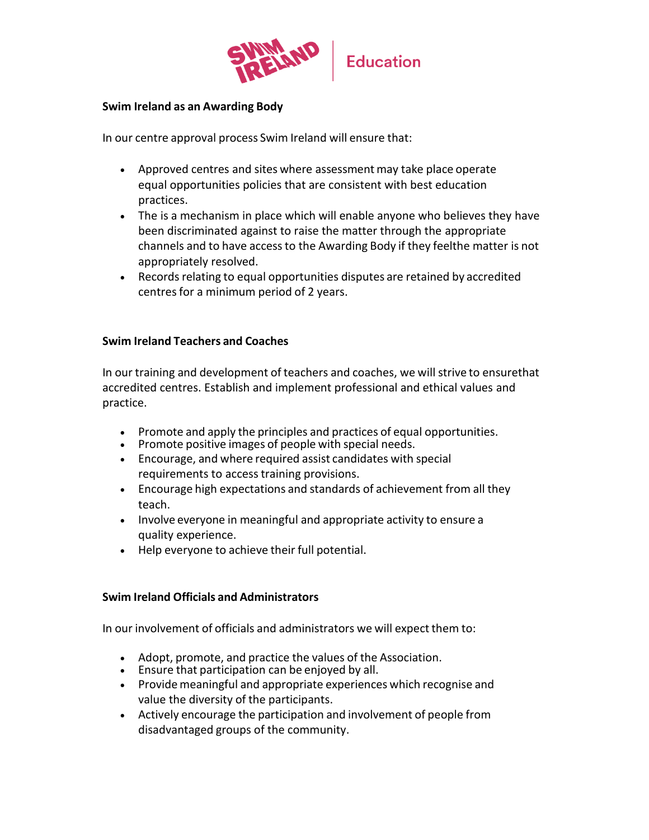

#### **Swim Ireland as an Awarding Body**

In our centre approval process Swim Ireland will ensure that:

- Approved centres and sites where assessment may take place operate equal opportunities policies that are consistent with best education practices.
- The is a mechanism in place which will enable anyone who believes they have been discriminated against to raise the matter through the appropriate channels and to have accessto the Awarding Body if they feelthe matter is not appropriately resolved.
- Records relating to equal opportunities disputes are retained by accredited centres for a minimum period of 2 years.

#### **Swim Ireland Teachers and Coaches**

In our training and development of teachers and coaches, we will strive to ensurethat accredited centres. Establish and implement professional and ethical values and practice.

- Promote and apply the principles and practices of equal opportunities.
- Promote positive images of people with special needs.
- Encourage, and where required assist candidates with special requirements to access training provisions.
- Encourage high expectations and standards of achievement from all they teach.
- Involve everyone in meaningful and appropriate activity to ensure a quality experience.
- Help everyone to achieve their full potential.

#### **Swim Ireland Officials and Administrators**

In our involvement of officials and administrators we will expect them to:

- Adopt, promote, and practice the values of the Association.
- Ensure that participation can be enjoyed by all.
- Provide meaningful and appropriate experiences which recognise and value the diversity of the participants.
- Actively encourage the participation and involvement of people from disadvantaged groups of the community.